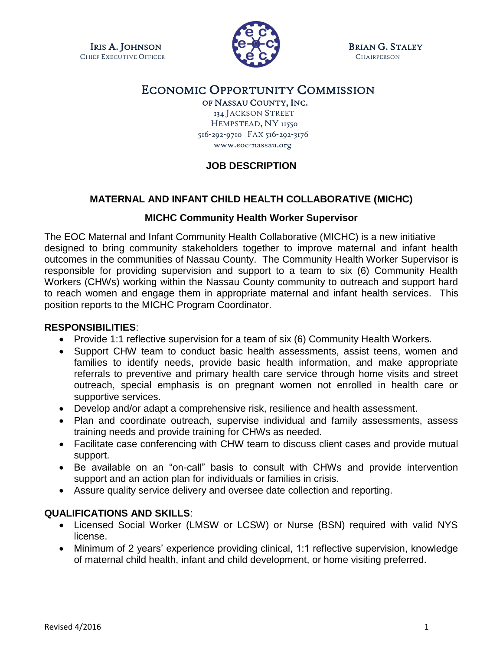CHIEF EXECUTIVE OFFICER **CHAIRPERSON CHAIRPERSON** 



IRIS A. JOHNSON **GUELON** CONTROL BRIAN G. STALEY

# ECONOMIC OPPORTUNITY COMMISSION

OF NASSAU COUNTY, INC.

 134 JACKSON STREET HEMPSTEAD, NY 11550 516-292-9710 FAX 516-292-3176 www.eoc-nassau.org

## **JOB DESCRIPTION**

### **MATERNAL AND INFANT CHILD HEALTH COLLABORATIVE (MICHC)**

#### **MICHC Community Health Worker Supervisor**

The EOC Maternal and Infant Community Health Collaborative (MICHC) is a new initiative designed to bring community stakeholders together to improve maternal and infant health outcomes in the communities of Nassau County. The Community Health Worker Supervisor is responsible for providing supervision and support to a team to six (6) Community Health Workers (CHWs) working within the Nassau County community to outreach and support hard to reach women and engage them in appropriate maternal and infant health services. This position reports to the MICHC Program Coordinator.

#### **RESPONSIBILITIES**:

- Provide 1:1 reflective supervision for a team of six (6) Community Health Workers.
- Support CHW team to conduct basic health assessments, assist teens, women and families to identify needs, provide basic health information, and make appropriate referrals to preventive and primary health care service through home visits and street outreach, special emphasis is on pregnant women not enrolled in health care or supportive services.
- Develop and/or adapt a comprehensive risk, resilience and health assessment.
- Plan and coordinate outreach, supervise individual and family assessments, assess training needs and provide training for CHWs as needed.
- Facilitate case conferencing with CHW team to discuss client cases and provide mutual support.
- Be available on an "on-call" basis to consult with CHWs and provide intervention support and an action plan for individuals or families in crisis.
- Assure quality service delivery and oversee date collection and reporting.

#### **QUALIFICATIONS AND SKILLS**:

- Licensed Social Worker (LMSW or LCSW) or Nurse (BSN) required with valid NYS license.
- Minimum of 2 years' experience providing clinical, 1:1 reflective supervision, knowledge of maternal child health, infant and child development, or home visiting preferred.